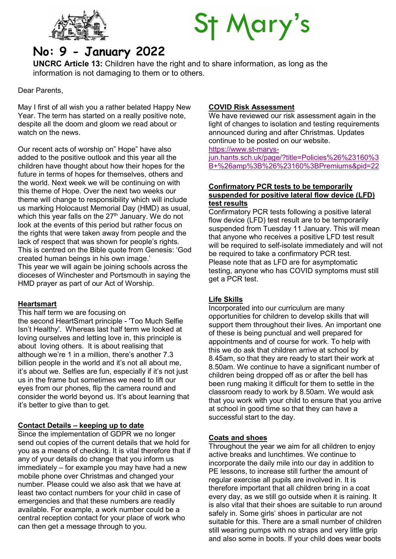



# No: 9 - January 2022

UNCRC Article 13: Children have the right and to share information, as long as the information is not damaging to them or to others.

Dear Parents,

May I first of all wish you a rather belated Happy New Year. The term has started on a really positive note, despite all the doom and gloom we read about or watch on the news.

Our recent acts of worship on" Hope" have also added to the positive outlook and this year all the children have thought about how their hopes for the future in terms of hopes for themselves, others and the world. Next week we will be continuing on with this theme of Hope. Over the next two weeks our theme will change to responsibility which will include us marking Holocaust Memorial Day (HMD) as usual, which this year falls on the 27<sup>th</sup> January. We do not look at the events of this period but rather focus on the rights that were taken away from people and the lack of respect that was shown for people's rights. This is centred on the Bible quote from Genesis: 'God created human beings in his own image.' This year we will again be joining schools across the dioceses of Winchester and Portsmouth in saying the HMD prayer as part of our Act of Worship.

# **Heartsmart**

This half term we are focusing on

the second HeartSmart principle - 'Too Much Selfie Isn't Healthy'. Whereas last half term we looked at loving ourselves and letting love in, this principle is about loving others. It is about realising that although we're 1 in a million, there's another 7.3 billion people in the world and it's not all about me, it's about we. Selfies are fun, especially if it's not just us in the frame but sometimes we need to lift our eyes from our phones, flip the camera round and consider the world beyond us. It's about learning that it's better to give than to get.

### Contact Details – keeping up to date

Since the implementation of GDPR we no longer send out copies of the current details that we hold for you as a means of checking. It is vital therefore that if any of your details do change that you inform us immediately – for example you may have had a new mobile phone over Christmas and changed your number. Please could we also ask that we have at least two contact numbers for your child in case of emergencies and that these numbers are readily available. For example, a work number could be a central reception contact for your place of work who can then get a message through to you.

## COVID Risk Assessment

We have reviewed our risk assessment again in the light of changes to isolation and testing requirements announced during and after Christmas. Updates continue to be posted on our website.

https://www.st-marys-

jun.hants.sch.uk/page/?title=Policies%26%23160%3 B+%26amp%3B%26%23160%3BPremiums&pid=22

### Confirmatory PCR tests to be temporarily suspended for positive lateral flow device (LFD) test results

Confirmatory PCR tests following a positive lateral flow device (LFD) test result are to be temporarily suspended from Tuesday 11 January. This will mean that anyone who receives a positive LFD test result will be required to self-isolate immediately and will not be required to take a confirmatory PCR test. Please note that as LFD are for asymptomatic testing, anyone who has COVID symptoms must still get a PCR test.

### Life Skills

Incorporated into our curriculum are many opportunities for children to develop skills that will support them throughout their lives. An important one of these is being punctual and well prepared for appointments and of course for work. To help with this we do ask that children arrive at school by 8.45am, so that they are ready to start their work at 8.50am. We continue to have a significant number of children being dropped off as or after the bell has been rung making it difficult for them to settle in the classroom ready to work by 8.50am. We would ask that you work with your child to ensure that you arrive at school in good time so that they can have a successful start to the day.

### Coats and shoes

Throughout the year we aim for all children to enjoy active breaks and lunchtimes. We continue to incorporate the daily mile into our day in addition to PE lessons, to increase still further the amount of regular exercise all pupils are involved in. It is therefore important that all children bring in a coat every day, as we still go outside when it is raining. It is also vital that their shoes are suitable to run around safely in. Some girls' shoes in particular are not suitable for this. There are a small number of children still wearing pumps with no straps and very little grip and also some in boots. If your child does wear boots